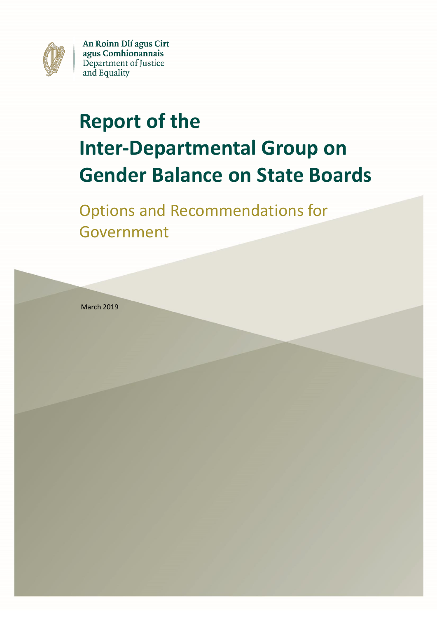

An Roinn Dlí agus Cirt agus Comhionannais Department of Justice and Equality

# **Report of the Inter-Departmental Group on Gender Balance on State Boards**

Options and Recommendations for Government

March 2019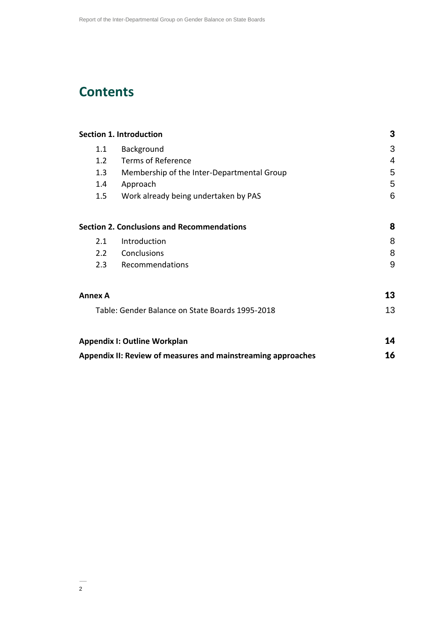# **Contents**

| <b>Section 1. Introduction</b>                                                         | 3                                                 |    |
|----------------------------------------------------------------------------------------|---------------------------------------------------|----|
| 1.1                                                                                    | Background                                        | 3  |
| 1.2                                                                                    | <b>Terms of Reference</b>                         | 4  |
| 1.3                                                                                    | Membership of the Inter-Departmental Group        | 5  |
| 1.4                                                                                    | Approach                                          | 5  |
| 1.5                                                                                    | Work already being undertaken by PAS              | 6  |
|                                                                                        | <b>Section 2. Conclusions and Recommendations</b> | 8  |
| 2.1                                                                                    | Introduction                                      | 8  |
| 2.2                                                                                    | Conclusions                                       | 8  |
| 2.3                                                                                    | Recommendations                                   | 9  |
| Annex A                                                                                |                                                   | 13 |
| Table: Gender Balance on State Boards 1995-2018<br><b>Appendix I: Outline Workplan</b> |                                                   |    |
|                                                                                        |                                                   |    |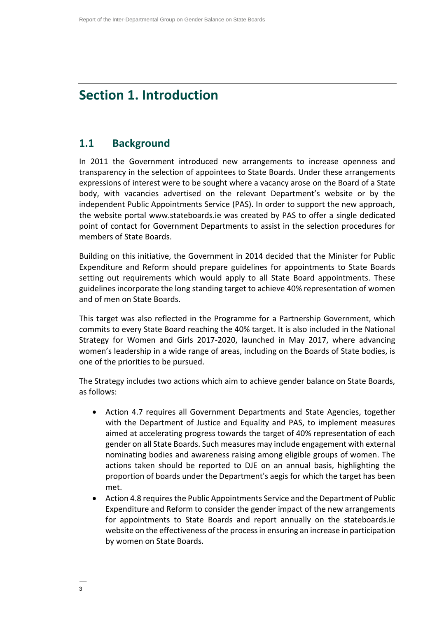# **Section 1. Introduction**

### **1.1 Background**

In 2011 the Government introduced new arrangements to increase openness and transparency in the selection of appointees to State Boards. Under these arrangements expressions of interest were to be sought where a vacancy arose on the Board of a State body, with vacancies advertised on the relevant Department's website or by the independent Public Appointments Service (PAS). In order to support the new approach, the website portal www.stateboards.ie was created by PAS to offer a single dedicated point of contact for Government Departments to assist in the selection procedures for members of State Boards.

Building on this initiative, the Government in 2014 decided that the Minister for Public Expenditure and Reform should prepare guidelines for appointments to State Boards setting out requirements which would apply to all State Board appointments. These guidelines incorporate the long standing target to achieve 40% representation of women and of men on State Boards.

This target was also reflected in the Programme for a Partnership Government, which commits to every State Board reaching the 40% target. It is also included in the National Strategy for Women and Girls 2017-2020, launched in May 2017, where advancing women's leadership in a wide range of areas, including on the Boards of State bodies, is one of the priorities to be pursued.

The Strategy includes two actions which aim to achieve gender balance on State Boards, as follows:

- Action 4.7 requires all Government Departments and State Agencies, together with the Department of Justice and Equality and PAS, to implement measures aimed at accelerating progress towards the target of 40% representation of each gender on all State Boards. Such measures may include engagement with external nominating bodies and awareness raising among eligible groups of women. The actions taken should be reported to DJE on an annual basis, highlighting the proportion of boards under the Department's aegis for which the target has been met.
- Action 4.8 requires the Public Appointments Service and the Department of Public Expenditure and Reform to consider the gender impact of the new arrangements for appointments to State Boards and report annually on the stateboards.ie website on the effectiveness of the process in ensuring an increase in participation by women on State Boards.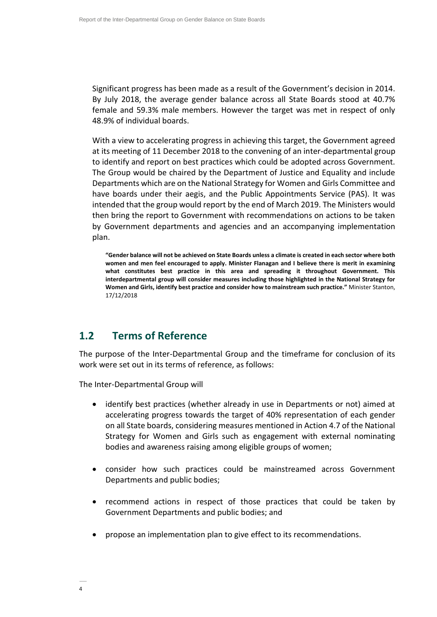Significant progress has been made as a result of the Government's decision in 2014. By July 2018, the average gender balance across all State Boards stood at 40.7% female and 59.3% male members. However the target was met in respect of only 48.9% of individual boards.

With a view to accelerating progress in achieving this target, the Government agreed at its meeting of 11 December 2018 to the convening of an inter-departmental group to identify and report on best practices which could be adopted across Government. The Group would be chaired by the Department of Justice and Equality and include Departments which are on the National Strategy for Women and Girls Committee and have boards under their aegis, and the Public Appointments Service (PAS). It was intended that the group would report by the end of March 2019. The Ministers would then bring the report to Government with recommendations on actions to be taken by Government departments and agencies and an accompanying implementation plan.

**"Gender balance will not be achieved on State Boards unless a climate is created in each sector where both women and men feel encouraged to apply. Minister Flanagan and I believe there is merit in examining what constitutes best practice in this area and spreading it throughout Government. This interdepartmental group will consider measures including those highlighted in the National Strategy for Women and Girls, identify best practice and consider how to mainstream such practice."** Minister Stanton, 17/12/2018

# **1.2 Terms of Reference**

The purpose of the Inter-Departmental Group and the timeframe for conclusion of its work were set out in its terms of reference, as follows:

The Inter-Departmental Group will

- identify best practices (whether already in use in Departments or not) aimed at accelerating progress towards the target of 40% representation of each gender on all State boards, considering measures mentioned in Action 4.7 of the National Strategy for Women and Girls such as engagement with external nominating bodies and awareness raising among eligible groups of women;
- consider how such practices could be mainstreamed across Government Departments and public bodies;
- recommend actions in respect of those practices that could be taken by Government Departments and public bodies; and
- propose an implementation plan to give effect to its recommendations.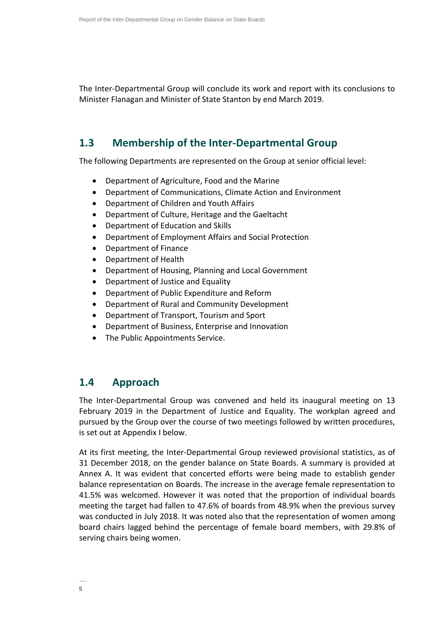The Inter-Departmental Group will conclude its work and report with its conclusions to Minister Flanagan and Minister of State Stanton by end March 2019.

# **1.3 Membership of the Inter-Departmental Group**

The following Departments are represented on the Group at senior official level:

- Department of Agriculture, Food and the Marine
- Department of Communications, Climate Action and Environment
- Department of Children and Youth Affairs
- Department of Culture, Heritage and the Gaeltacht
- Department of Education and Skills
- Department of Employment Affairs and Social Protection
- Department of Finance
- Department of Health
- Department of Housing, Planning and Local Government
- Department of Justice and Equality
- Department of Public Expenditure and Reform
- Department of Rural and Community Development
- Department of Transport, Tourism and Sport
- Department of Business, Enterprise and Innovation
- The Public Appointments Service.

### **1.4 Approach**

The Inter-Departmental Group was convened and held its inaugural meeting on 13 February 2019 in the Department of Justice and Equality. The workplan agreed and pursued by the Group over the course of two meetings followed by written procedures, is set out at Appendix I below.

At its first meeting, the Inter-Departmental Group reviewed provisional statistics, as of 31 December 2018, on the gender balance on State Boards. A summary is provided at Annex A. It was evident that concerted efforts were being made to establish gender balance representation on Boards. The increase in the average female representation to 41.5% was welcomed. However it was noted that the proportion of individual boards meeting the target had fallen to 47.6% of boards from 48.9% when the previous survey was conducted in July 2018. It was noted also that the representation of women among board chairs lagged behind the percentage of female board members, with 29.8% of serving chairs being women.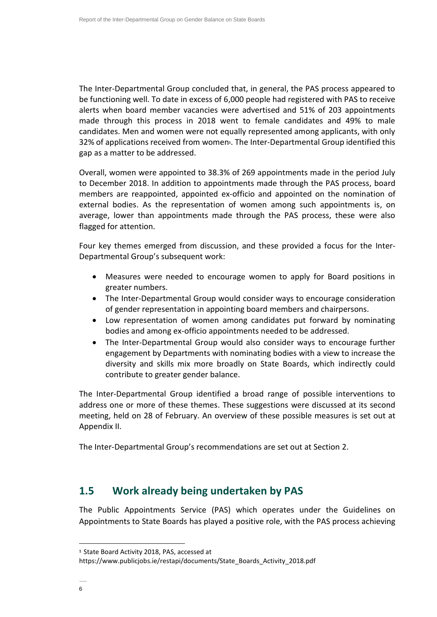The Inter-Departmental Group concluded that, in general, the PAS process appeared to be functioning well. To date in excess of 6,000 people had registered with PAS to receive alerts when board member vacancies were advertised and 51% of 203 appointments made through this process in 2018 went to female candidates and 49% to male candidates. Men and women were not equally represented among applicants, with only 32% of applications received from women<sup>1</sup>. The Inter-Departmental Group identified this gap as a matter to be addressed.

Overall, women were appointed to 38.3% of 269 appointments made in the period July to December 2018. In addition to appointments made through the PAS process, board members are reappointed, appointed ex-officio and appointed on the nomination of external bodies. As the representation of women among such appointments is, on average, lower than appointments made through the PAS process, these were also flagged for attention.

Four key themes emerged from discussion, and these provided a focus for the Inter-Departmental Group's subsequent work:

- Measures were needed to encourage women to apply for Board positions in greater numbers.
- The Inter-Departmental Group would consider ways to encourage consideration of gender representation in appointing board members and chairpersons.
- Low representation of women among candidates put forward by nominating bodies and among ex-officio appointments needed to be addressed.
- The Inter-Departmental Group would also consider ways to encourage further engagement by Departments with nominating bodies with a view to increase the diversity and skills mix more broadly on State Boards, which indirectly could contribute to greater gender balance.

The Inter-Departmental Group identified a broad range of possible interventions to address one or more of these themes. These suggestions were discussed at its second meeting, held on 28 of February. An overview of these possible measures is set out at Appendix II.

The Inter-Departmental Group's recommendations are set out at Section 2.

### **1.5 Work already being undertaken by PAS**

The Public Appointments Service (PAS) which operates under the Guidelines on Appointments to State Boards has played a positive role, with the PAS process achieving

l

**<sup>1</sup>** State Board Activity 2018, PAS, accessed at

https://www.publicjobs.ie/restapi/documents/State\_Boards\_Activity\_2018.pdf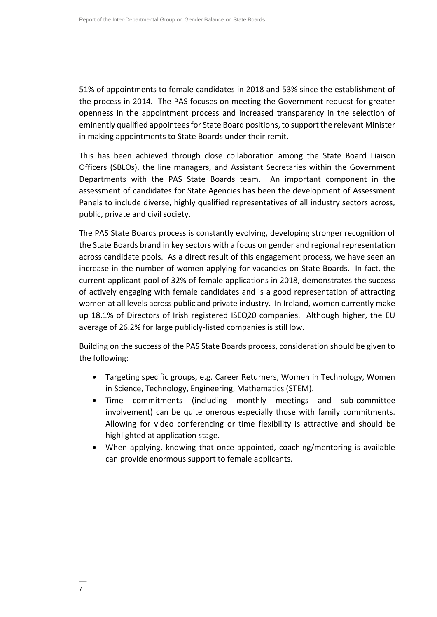51% of appointments to female candidates in 2018 and 53% since the establishment of the process in 2014. The PAS focuses on meeting the Government request for greater openness in the appointment process and increased transparency in the selection of eminently qualified appointees for State Board positions, to support the relevant Minister in making appointments to State Boards under their remit.

This has been achieved through close collaboration among the State Board Liaison Officers (SBLOs), the line managers, and Assistant Secretaries within the Government Departments with the PAS State Boards team. An important component in the assessment of candidates for State Agencies has been the development of Assessment Panels to include diverse, highly qualified representatives of all industry sectors across, public, private and civil society.

The PAS State Boards process is constantly evolving, developing stronger recognition of the State Boards brand in key sectors with a focus on gender and regional representation across candidate pools. As a direct result of this engagement process, we have seen an increase in the number of women applying for vacancies on State Boards. In fact, the current applicant pool of 32% of female applications in 2018, demonstrates the success of actively engaging with female candidates and is a good representation of attracting women at all levels across public and private industry. In Ireland, women currently make up 18.1% of Directors of Irish registered ISEQ20 companies. Although higher, the EU average of 26.2% for large publicly-listed companies is still low.

Building on the success of the PAS State Boards process, consideration should be given to the following:

- Targeting specific groups, e.g. Career Returners, Women in Technology, Women in Science, Technology, Engineering, Mathematics (STEM).
- Time commitments (including monthly meetings and sub-committee involvement) can be quite onerous especially those with family commitments. Allowing for video conferencing or time flexibility is attractive and should be highlighted at application stage.
- When applying, knowing that once appointed, coaching/mentoring is available can provide enormous support to female applicants.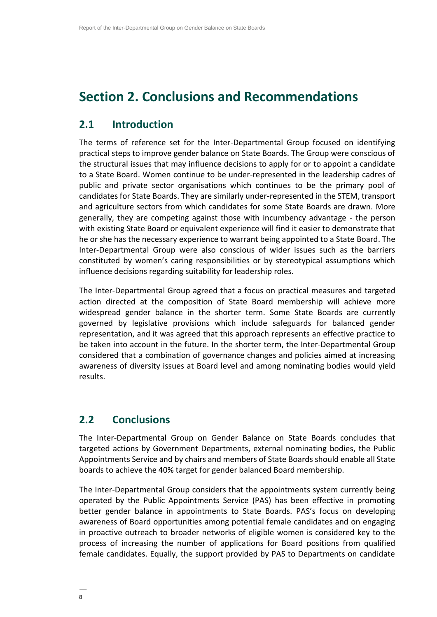# **Section 2. Conclusions and Recommendations**

## **2.1 Introduction**

The terms of reference set for the Inter-Departmental Group focused on identifying practical steps to improve gender balance on State Boards. The Group were conscious of the structural issues that may influence decisions to apply for or to appoint a candidate to a State Board. Women continue to be under-represented in the leadership cadres of public and private sector organisations which continues to be the primary pool of candidates for State Boards. They are similarly under-represented in the STEM, transport and agriculture sectors from which candidates for some State Boards are drawn. More generally, they are competing against those with incumbency advantage - the person with existing State Board or equivalent experience will find it easier to demonstrate that he or she has the necessary experience to warrant being appointed to a State Board. The Inter-Departmental Group were also conscious of wider issues such as the barriers constituted by women's caring responsibilities or by stereotypical assumptions which influence decisions regarding suitability for leadership roles.

The Inter-Departmental Group agreed that a focus on practical measures and targeted action directed at the composition of State Board membership will achieve more widespread gender balance in the shorter term. Some State Boards are currently governed by legislative provisions which include safeguards for balanced gender representation, and it was agreed that this approach represents an effective practice to be taken into account in the future. In the shorter term, the Inter-Departmental Group considered that a combination of governance changes and policies aimed at increasing awareness of diversity issues at Board level and among nominating bodies would yield results.

### **2.2 Conclusions**

The Inter-Departmental Group on Gender Balance on State Boards concludes that targeted actions by Government Departments, external nominating bodies, the Public Appointments Service and by chairs and members of State Boards should enable all State boards to achieve the 40% target for gender balanced Board membership.

The Inter-Departmental Group considers that the appointments system currently being operated by the Public Appointments Service (PAS) has been effective in promoting better gender balance in appointments to State Boards. PAS's focus on developing awareness of Board opportunities among potential female candidates and on engaging in proactive outreach to broader networks of eligible women is considered key to the process of increasing the number of applications for Board positions from qualified female candidates. Equally, the support provided by PAS to Departments on candidate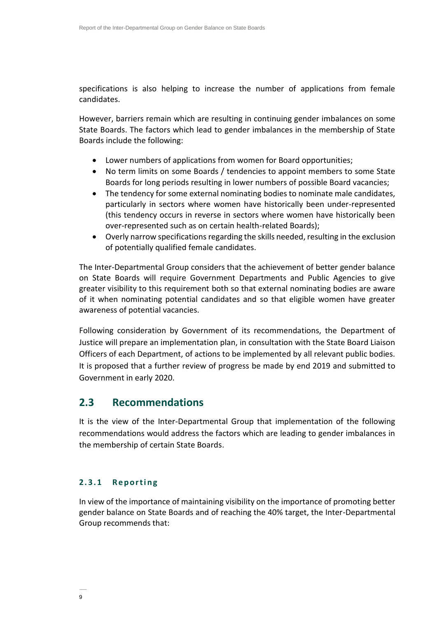specifications is also helping to increase the number of applications from female candidates.

However, barriers remain which are resulting in continuing gender imbalances on some State Boards. The factors which lead to gender imbalances in the membership of State Boards include the following:

- Lower numbers of applications from women for Board opportunities;
- No term limits on some Boards / tendencies to appoint members to some State Boards for long periods resulting in lower numbers of possible Board vacancies;
- The tendency for some external nominating bodies to nominate male candidates, particularly in sectors where women have historically been under-represented (this tendency occurs in reverse in sectors where women have historically been over-represented such as on certain health-related Boards);
- Overly narrow specifications regarding the skills needed, resulting in the exclusion of potentially qualified female candidates.

The Inter-Departmental Group considers that the achievement of better gender balance on State Boards will require Government Departments and Public Agencies to give greater visibility to this requirement both so that external nominating bodies are aware of it when nominating potential candidates and so that eligible women have greater awareness of potential vacancies.

Following consideration by Government of its recommendations, the Department of Justice will prepare an implementation plan, in consultation with the State Board Liaison Officers of each Department, of actions to be implemented by all relevant public bodies. It is proposed that a further review of progress be made by end 2019 and submitted to Government in early 2020.

### **2.3 Recommendations**

It is the view of the Inter-Departmental Group that implementation of the following recommendations would address the factors which are leading to gender imbalances in the membership of certain State Boards.

#### 2.3.1 Reporting

In view of the importance of maintaining visibility on the importance of promoting better gender balance on State Boards and of reaching the 40% target, the Inter-Departmental Group recommends that: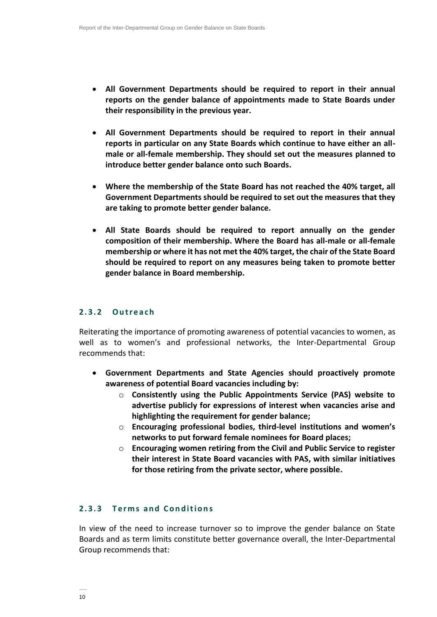- **All Government Departments should be required to report in their annual reports on the gender balance of appointments made to State Boards under their responsibility in the previous year.**
- **All Government Departments should be required to report in their annual reports in particular on any State Boards which continue to have either an allmale or all-female membership. They should set out the measures planned to introduce better gender balance onto such Boards.**
- **Where the membership of the State Board has not reached the 40% target, all Government Departments should be required to set out the measures that they are taking to promote better gender balance.**
- **All State Boards should be required to report annually on the gender composition of their membership. Where the Board has all-male or all-female membership or where it has not met the 40% target, the chair of the State Board should be required to report on any measures being taken to promote better gender balance in Board membership.**

#### **2 . 3 . 2 O u t r e a c h**

Reiterating the importance of promoting awareness of potential vacancies to women, as well as to women's and professional networks, the Inter-Departmental Group recommends that:

- **Government Departments and State Agencies should proactively promote awareness of potential Board vacancies including by:**
	- o **Consistently using the Public Appointments Service (PAS) website to advertise publicly for expressions of interest when vacancies arise and highlighting the requirement for gender balance;**
	- o **Encouraging professional bodies, third-level institutions and women's networks to put forward female nominees for Board places;**
	- o **Encouraging women retiring from the Civil and Public Service to register their interest in State Board vacancies with PAS, with similar initiatives for those retiring from the private sector, where possible.**

#### **2 . 3 . 3 T e r m s a n d C o n d i t i o n s**

In view of the need to increase turnover so to improve the gender balance on State Boards and as term limits constitute better governance overall, the Inter-Departmental Group recommends that: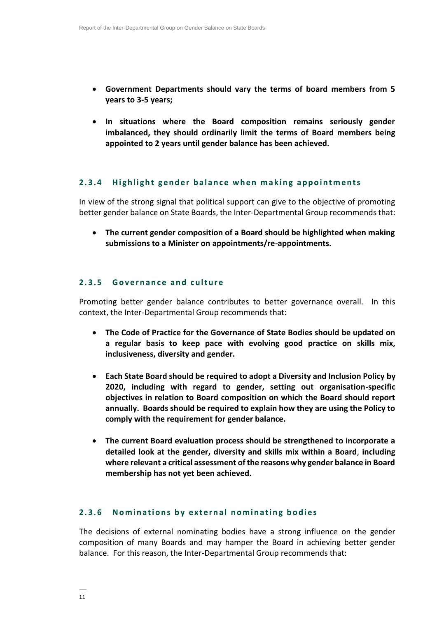- **Government Departments should vary the terms of board members from 5 years to 3-5 years;**
- **In situations where the Board composition remains seriously gender imbalanced, they should ordinarily limit the terms of Board members being appointed to 2 years until gender balance has been achieved.**

#### **2.3.4** Highlight gender balance when making appointments

In view of the strong signal that political support can give to the objective of promoting better gender balance on State Boards, the Inter-Departmental Group recommends that:

 **The current gender composition of a Board should be highlighted when making submissions to a Minister on appointments/re-appointments.**

#### **2. 3. 5 G o v e r n a n c e a n d c u l t u r e**

Promoting better gender balance contributes to better governance overall. In this context, the Inter-Departmental Group recommends that:

- **The Code of Practice for the Governance of State Bodies should be updated on a regular basis to keep pace with evolving good practice on skills mix, inclusiveness, diversity and gender.**
- **Each State Board should be required to adopt a Diversity and Inclusion Policy by 2020, including with regard to gender, setting out organisation-specific objectives in relation to Board composition on which the Board should report annually. Boards should be required to explain how they are using the Policy to comply with the requirement for gender balance.**
- **The current Board evaluation process should be strengthened to incorporate a detailed look at the gender, diversity and skills mix within a Board**, **including where relevant a critical assessment of the reasons why gender balance in Board membership has not yet been achieved.**

#### **2.3.6** Nominations by external nominating bodies

The decisions of external nominating bodies have a strong influence on the gender composition of many Boards and may hamper the Board in achieving better gender balance. For this reason, the Inter-Departmental Group recommends that: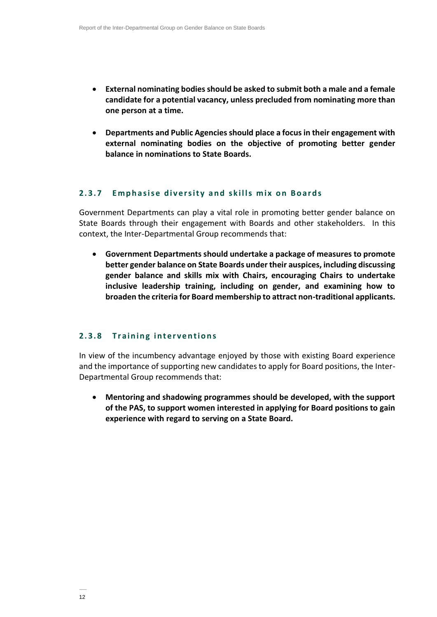- **External nominating bodies should be asked to submit both a male and a female candidate for a potential vacancy, unless precluded from nominating more than one person at a time.**
- **Departments and Public Agencies should place a focus in their engagement with external nominating bodies on the objective of promoting better gender balance in nominations to State Boards.**

#### **2.3.7 Emphasise diversity and skills mix on Boards**

Government Departments can play a vital role in promoting better gender balance on State Boards through their engagement with Boards and other stakeholders. In this context, the Inter-Departmental Group recommends that:

 **Government Departments should undertake a package of measures to promote better gender balance on State Boards under their auspices, including discussing gender balance and skills mix with Chairs, encouraging Chairs to undertake inclusive leadership training, including on gender, and examining how to broaden the criteria for Board membership to attract non-traditional applicants.**

#### **2.3.8 Training interventions**

In view of the incumbency advantage enjoyed by those with existing Board experience and the importance of supporting new candidates to apply for Board positions, the Inter-Departmental Group recommends that:

 **Mentoring and shadowing programmes should be developed, with the support of the PAS, to support women interested in applying for Board positions to gain experience with regard to serving on a State Board.**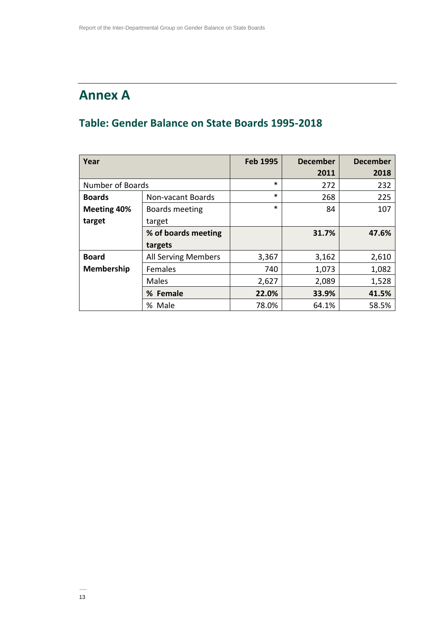# **Annex A**

# **Table: Gender Balance on State Boards 1995-2018**

| Year              |                            | <b>Feb 1995</b> | <b>December</b> | <b>December</b> |
|-------------------|----------------------------|-----------------|-----------------|-----------------|
|                   |                            |                 | 2011            | 2018            |
| Number of Boards  |                            | $\ast$          | 272             | 232             |
| <b>Boards</b>     | Non-vacant Boards          | $\ast$          | 268             | 225             |
| Meeting 40%       | Boards meeting             | $\ast$          | 84              | 107             |
| target            | target                     |                 |                 |                 |
|                   | % of boards meeting        |                 | 31.7%           | 47.6%           |
|                   | targets                    |                 |                 |                 |
| <b>Board</b>      | <b>All Serving Members</b> | 3,367           | 3,162           | 2,610           |
| <b>Membership</b> | <b>Females</b>             | 740             | 1,073           | 1,082           |
|                   | Males                      | 2,627           | 2,089           | 1,528           |
|                   | % Female                   | 22.0%           | 33.9%           | 41.5%           |
|                   | % Male                     | 78.0%           | 64.1%           | 58.5%           |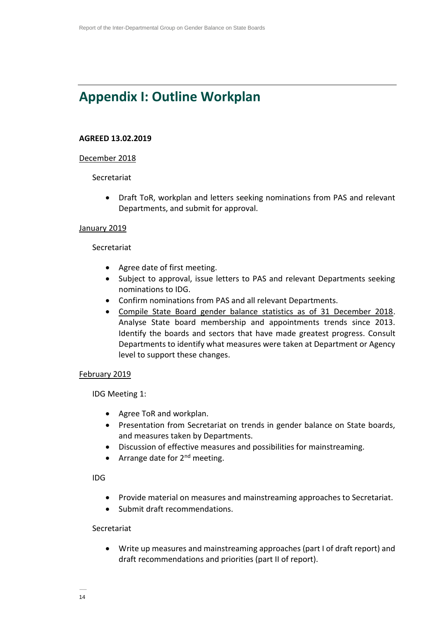# **Appendix I: Outline Workplan**

#### **AGREED 13.02.2019**

#### December 2018

#### Secretariat

 Draft ToR, workplan and letters seeking nominations from PAS and relevant Departments, and submit for approval.

#### January 2019

#### Secretariat

- Agree date of first meeting.
- Subject to approval, issue letters to PAS and relevant Departments seeking nominations to IDG.
- Confirm nominations from PAS and all relevant Departments.
- Compile State Board gender balance statistics as of 31 December 2018. Analyse State board membership and appointments trends since 2013. Identify the boards and sectors that have made greatest progress. Consult Departments to identify what measures were taken at Department or Agency level to support these changes.

#### February 2019

IDG Meeting 1:

- Agree ToR and workplan.
- Presentation from Secretariat on trends in gender balance on State boards, and measures taken by Departments.
- Discussion of effective measures and possibilities for mainstreaming.
- Arrange date for  $2^{nd}$  meeting.

IDG

- Provide material on measures and mainstreaming approaches to Secretariat.
- Submit draft recommendations.

#### Secretariat

 Write up measures and mainstreaming approaches (part I of draft report) and draft recommendations and priorities (part II of report).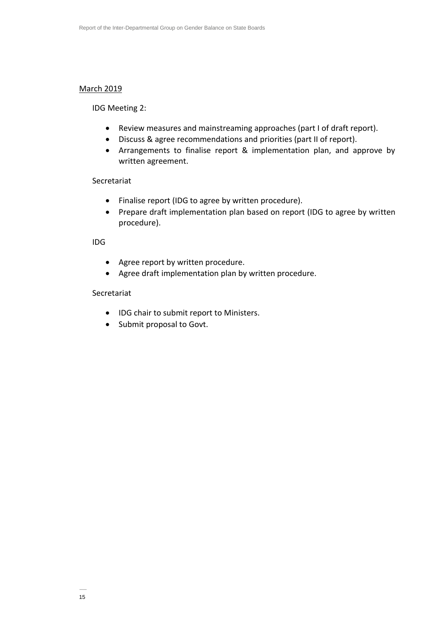#### March 2019

IDG Meeting 2:

- Review measures and mainstreaming approaches (part I of draft report).
- Discuss & agree recommendations and priorities (part II of report).
- Arrangements to finalise report & implementation plan, and approve by written agreement.

#### Secretariat

- Finalise report (IDG to agree by written procedure).
- Prepare draft implementation plan based on report (IDG to agree by written procedure).

IDG

- Agree report by written procedure.
- Agree draft implementation plan by written procedure.

#### Secretariat

- IDG chair to submit report to Ministers.
- Submit proposal to Govt.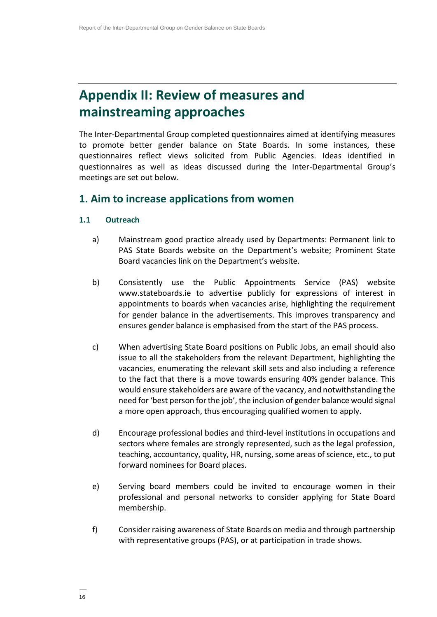# **Appendix II: Review of measures and mainstreaming approaches**

The Inter-Departmental Group completed questionnaires aimed at identifying measures to promote better gender balance on State Boards. In some instances, these questionnaires reflect views solicited from Public Agencies. Ideas identified in questionnaires as well as ideas discussed during the Inter-Departmental Group's meetings are set out below.

### **1. Aim to increase applications from women**

#### **1.1 Outreach**

- a) Mainstream good practice already used by Departments: Permanent link to PAS State Boards website on the Department's website; Prominent State Board vacancies link on the Department's website.
- b) Consistently use the Public Appointments Service (PAS) website www.stateboards.ie to advertise publicly for expressions of interest in appointments to boards when vacancies arise, highlighting the requirement for gender balance in the advertisements. This improves transparency and ensures gender balance is emphasised from the start of the PAS process.
- c) When advertising State Board positions on Public Jobs, an email should also issue to all the stakeholders from the relevant Department, highlighting the vacancies, enumerating the relevant skill sets and also including a reference to the fact that there is a move towards ensuring 40% gender balance. This would ensure stakeholders are aware of the vacancy, and notwithstanding the need for 'best person for the job', the inclusion of gender balance would signal a more open approach, thus encouraging qualified women to apply.
- d) Encourage professional bodies and third-level institutions in occupations and sectors where females are strongly represented, such as the legal profession, teaching, accountancy, quality, HR, nursing, some areas of science, etc., to put forward nominees for Board places.
- e) Serving board members could be invited to encourage women in their professional and personal networks to consider applying for State Board membership.
- f) Consider raising awareness of State Boards on media and through partnership with representative groups (PAS), or at participation in trade shows.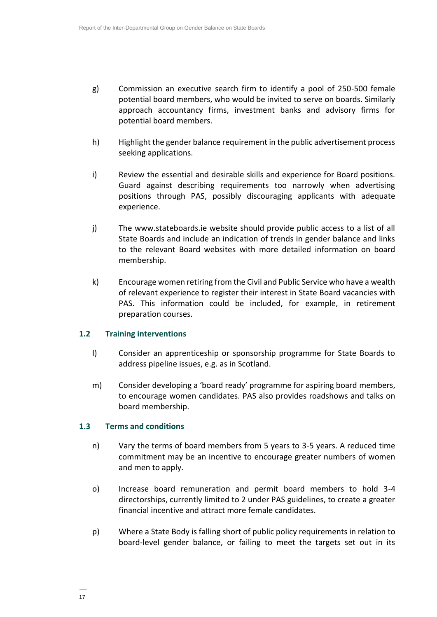- g) Commission an executive search firm to identify a pool of 250-500 female potential board members, who would be invited to serve on boards. Similarly approach accountancy firms, investment banks and advisory firms for potential board members.
- h) Highlight the gender balance requirement in the public advertisement process seeking applications.
- i) Review the essential and desirable skills and experience for Board positions. Guard against describing requirements too narrowly when advertising positions through PAS, possibly discouraging applicants with adequate experience.
- j) The www.stateboards.ie website should provide public access to a list of all State Boards and include an indication of trends in gender balance and links to the relevant Board websites with more detailed information on board membership.
- k) Encourage women retiring from the Civil and Public Service who have a wealth of relevant experience to register their interest in State Board vacancies with PAS. This information could be included, for example, in retirement preparation courses.

#### **1.2 Training interventions**

- l) Consider an apprenticeship or sponsorship programme for State Boards to address pipeline issues, e.g. as in Scotland.
- m) Consider developing a 'board ready' programme for aspiring board members, to encourage women candidates. PAS also provides roadshows and talks on board membership.

#### **1.3 Terms and conditions**

- n) Vary the terms of board members from 5 years to 3-5 years. A reduced time commitment may be an incentive to encourage greater numbers of women and men to apply.
- o) Increase board remuneration and permit board members to hold 3-4 directorships, currently limited to 2 under PAS guidelines, to create a greater financial incentive and attract more female candidates.
- p) Where a State Body is falling short of public policy requirements in relation to board-level gender balance, or failing to meet the targets set out in its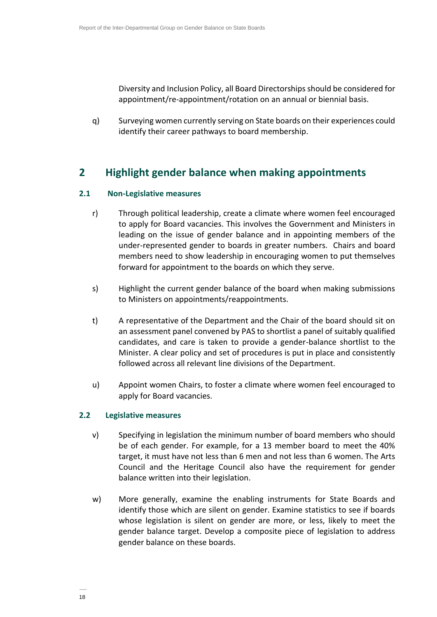Diversity and Inclusion Policy, all Board Directorships should be considered for appointment/re-appointment/rotation on an annual or biennial basis.

q) Surveying women currently serving on State boards on their experiences could identify their career pathways to board membership.

# **2 Highlight gender balance when making appointments**

#### **2.1 Non-Legislative measures**

- r) Through political leadership, create a climate where women feel encouraged to apply for Board vacancies. This involves the Government and Ministers in leading on the issue of gender balance and in appointing members of the under-represented gender to boards in greater numbers. Chairs and board members need to show leadership in encouraging women to put themselves forward for appointment to the boards on which they serve.
- s) Highlight the current gender balance of the board when making submissions to Ministers on appointments/reappointments.
- t) A representative of the Department and the Chair of the board should sit on an assessment panel convened by PAS to shortlist a panel of suitably qualified candidates, and care is taken to provide a gender-balance shortlist to the Minister. A clear policy and set of procedures is put in place and consistently followed across all relevant line divisions of the Department.
- u) Appoint women Chairs, to foster a climate where women feel encouraged to apply for Board vacancies.

#### **2.2 Legislative measures**

- v) Specifying in legislation the minimum number of board members who should be of each gender. For example, for a 13 member board to meet the 40% target, it must have not less than 6 men and not less than 6 women. The Arts Council and the Heritage Council also have the requirement for gender balance written into their legislation.
- w) More generally, examine the enabling instruments for State Boards and identify those which are silent on gender. Examine statistics to see if boards whose legislation is silent on gender are more, or less, likely to meet the gender balance target. Develop a composite piece of legislation to address gender balance on these boards.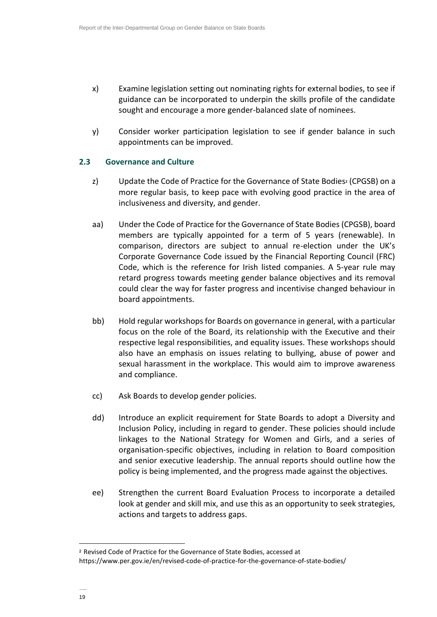- x) Examine legislation setting out nominating rights for external bodies, to see if guidance can be incorporated to underpin the skills profile of the candidate sought and encourage a more gender-balanced slate of nominees.
- y) Consider worker participation legislation to see if gender balance in such appointments can be improved.

#### **2.3 Governance and Culture**

- z) Update the Code of Practice for the Governance of State Bodies**<sup>2</sup>** (CPGSB) on a more regular basis, to keep pace with evolving good practice in the area of inclusiveness and diversity, and gender.
- aa) Under the Code of Practice for the Governance of State Bodies (CPGSB), board members are typically appointed for a term of 5 years (renewable). In comparison, directors are subject to annual re-election under the UK's Corporate Governance Code issued by the Financial Reporting Council (FRC) Code, which is the reference for Irish listed companies. A 5-year rule may retard progress towards meeting gender balance objectives and its removal could clear the way for faster progress and incentivise changed behaviour in board appointments.
- bb) Hold regular workshops for Boards on governance in general, with a particular focus on the role of the Board, its relationship with the Executive and their respective legal responsibilities, and equality issues. These workshops should also have an emphasis on issues relating to bullying, abuse of power and sexual harassment in the workplace. This would aim to improve awareness and compliance.
- cc) Ask Boards to develop gender policies.
- dd) Introduce an explicit requirement for State Boards to adopt a Diversity and Inclusion Policy, including in regard to gender. These policies should include linkages to the National Strategy for Women and Girls, and a series of organisation-specific objectives, including in relation to Board composition and senior executive leadership. The annual reports should outline how the policy is being implemented, and the progress made against the objectives.
- ee) Strengthen the current Board Evaluation Process to incorporate a detailed look at gender and skill mix, and use this as an opportunity to seek strategies, actions and targets to address gaps.

l

**<sup>2</sup>** Revised Code of Practice for the Governance of State Bodies, accessed at

https://www.per.gov.ie/en/revised-code-of-practice-for-the-governance-of-state-bodies/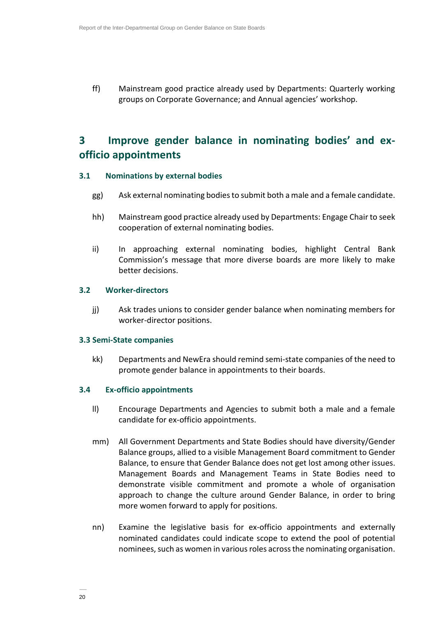ff) Mainstream good practice already used by Departments: Quarterly working groups on Corporate Governance; and Annual agencies' workshop.

# **3 Improve gender balance in nominating bodies' and exofficio appointments**

#### **3.1 Nominations by external bodies**

- gg) Ask external nominating bodies to submit both a male and a female candidate.
- hh) Mainstream good practice already used by Departments: Engage Chair to seek cooperation of external nominating bodies.
- ii) In approaching external nominating bodies, highlight Central Bank Commission's message that more diverse boards are more likely to make better decisions.

#### **3.2 Worker-directors**

jj) Ask trades unions to consider gender balance when nominating members for worker-director positions.

#### **3.3 Semi-State companies**

kk) Departments and NewEra should remind semi-state companies of the need to promote gender balance in appointments to their boards.

#### **3.4 Ex-officio appointments**

- ll) Encourage Departments and Agencies to submit both a male and a female candidate for ex-officio appointments.
- mm) All Government Departments and State Bodies should have diversity/Gender Balance groups, allied to a visible Management Board commitment to Gender Balance, to ensure that Gender Balance does not get lost among other issues. Management Boards and Management Teams in State Bodies need to demonstrate visible commitment and promote a whole of organisation approach to change the culture around Gender Balance, in order to bring more women forward to apply for positions.
- nn) Examine the legislative basis for ex-officio appointments and externally nominated candidates could indicate scope to extend the pool of potential nominees, such as women in various roles across the nominating organisation.